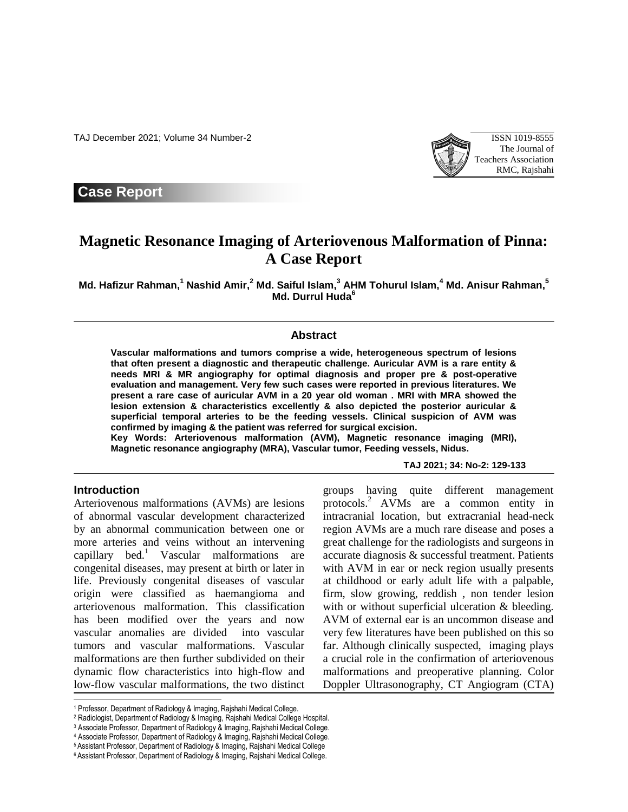TAJ December 2021; Volume 34 Number-2 ISSN 1019-8555



**Case Report**

# **Magnetic Resonance Imaging of Arteriovenous Malformation of Pinna: A Case Report**

**Md. Hafizur Rahman, <sup>1</sup> Nashid Amir, <sup>2</sup> Md. Saiful Islam, <sup>3</sup> AHM Tohurul Islam, <sup>4</sup> Md. Anisur Rahman, 5 Md. Durrul Huda<sup>6</sup>**

#### **Abstract**

**Vascular malformations and tumors comprise a wide, heterogeneous spectrum of lesions that often present a diagnostic and therapeutic challenge. Auricular AVM is a rare entity & needs MRI & MR angiography for optimal diagnosis and proper pre & post-operative evaluation and management. Very few such cases were reported in previous literatures. We present a rare case of auricular AVM in a 20 year old woman . MRI with MRA showed the lesion extension & characteristics excellently & also depicted the posterior auricular & superficial temporal arteries to be the feeding vessels. Clinical suspicion of AVM was confirmed by imaging & the patient was referred for surgical excision.**

**Key Words: Arteriovenous malformation (AVM), Magnetic resonance imaging (MRI), Magnetic resonance angiography (MRA), Vascular tumor, Feeding vessels, Nidus.**

**TAJ 2021; 34: No-2: 129-133**

## **Introduction**

l

Arteriovenous malformations (AVMs) are lesions of abnormal vascular development characterized by an abnormal communication between one or more arteries and veins without an intervening capillary bed.<sup>1</sup> Vascular malformations are congenital diseases, may present at birth or later in life. Previously congenital diseases of vascular origin were classified as haemangioma and arteriovenous malformation. This classification has been modified over the years and now vascular anomalies are divided into vascular tumors and vascular malformations. Vascular malformations are then further subdivided on their dynamic flow characteristics into high-flow and low-flow vascular malformations, the two distinct groups having quite different management protocols.<sup>2</sup> AVMs are a common entity in intracranial location, but extracranial head-neck region AVMs are a much rare disease and poses a great challenge for the radiologists and surgeons in accurate diagnosis & successful treatment. Patients with AVM in ear or neck region usually presents at childhood or early adult life with a palpable, firm, slow growing, reddish , non tender lesion with or without superficial ulceration & bleeding. AVM of external ear is an uncommon disease and very few literatures have been published on this so far. Although clinically suspected, imaging plays a crucial role in the confirmation of arteriovenous malformations and preoperative planning. Color Doppler Ultrasonography, CT Angiogram (CTA)

<sup>1</sup> Professor, Department of Radiology & Imaging, Rajshahi Medical College.

<sup>2</sup> Radiologist, Department of Radiology & Imaging, Rajshahi Medical College Hospital.

<sup>3</sup> Associate Professor, Department of Radiology & Imaging, Rajshahi Medical College.

<sup>4</sup> Associate Professor, Department of Radiology & Imaging, Rajshahi Medical College.

<sup>5</sup> Assistant Professor, Department of Radiology & Imaging, Rajshahi Medical College

<sup>6</sup> Assistant Professor, Department of Radiology & Imaging, Rajshahi Medical College.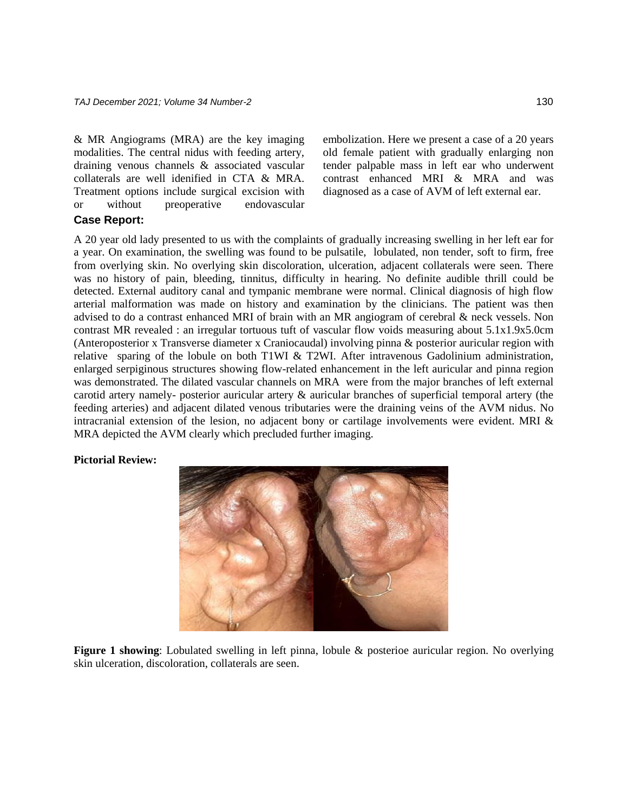& MR Angiograms (MRA) are the key imaging modalities. The central nidus with feeding artery, draining venous channels & associated vascular collaterals are well idenified in CTA & MRA. Treatment options include surgical excision with or without preoperative endovascular

embolization. Here we present a case of a 20 years old female patient with gradually enlarging non tender palpable mass in left ear who underwent contrast enhanced MRI & MRA and was diagnosed as a case of AVM of left external ear.

# **Case Report:**

A 20 year old lady presented to us with the complaints of gradually increasing swelling in her left ear for a year. On examination, the swelling was found to be pulsatile, lobulated, non tender, soft to firm, free from overlying skin. No overlying skin discoloration, ulceration, adjacent collaterals were seen. There was no history of pain, bleeding, tinnitus, difficulty in hearing. No definite audible thrill could be detected. External auditory canal and tympanic membrane were normal. Clinical diagnosis of high flow arterial malformation was made on history and examination by the clinicians. The patient was then advised to do a contrast enhanced MRI of brain with an MR angiogram of cerebral & neck vessels. Non contrast MR revealed : an irregular tortuous tuft of vascular flow voids measuring about 5.1x1.9x5.0cm (Anteroposterior x Transverse diameter x Craniocaudal) involving pinna & posterior auricular region with relative sparing of the lobule on both T1WI  $&$  T2WI. After intravenous Gadolinium administration, enlarged serpiginous structures showing flow-related enhancement in the left auricular and pinna region was demonstrated. The dilated vascular channels on MRA were from the major branches of left external carotid artery namely- posterior auricular artery & auricular branches of superficial temporal artery (the feeding arteries) and adjacent dilated venous tributaries were the draining veins of the AVM nidus. No intracranial extension of the lesion, no adjacent bony or cartilage involvements were evident. MRI & MRA depicted the AVM clearly which precluded further imaging.

#### **Pictorial Review:**



**Figure 1 showing**: Lobulated swelling in left pinna, lobule & posterioe auricular region. No overlying skin ulceration, discoloration, collaterals are seen.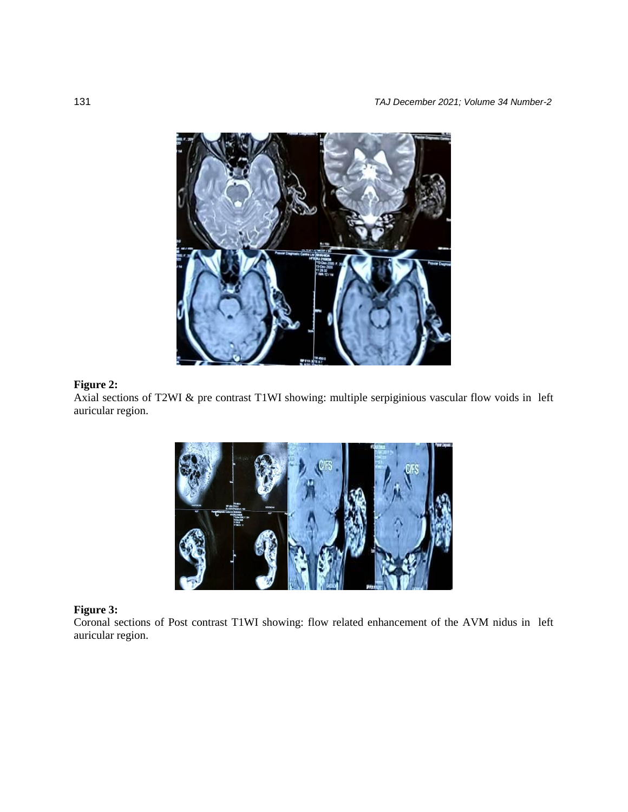

# **Figure 2:**

Axial sections of T2WI & pre contrast T1WI showing: multiple serpiginious vascular flow voids in left auricular region.



## **Figure 3:**

Coronal sections of Post contrast T1WI showing: flow related enhancement of the AVM nidus in left auricular region.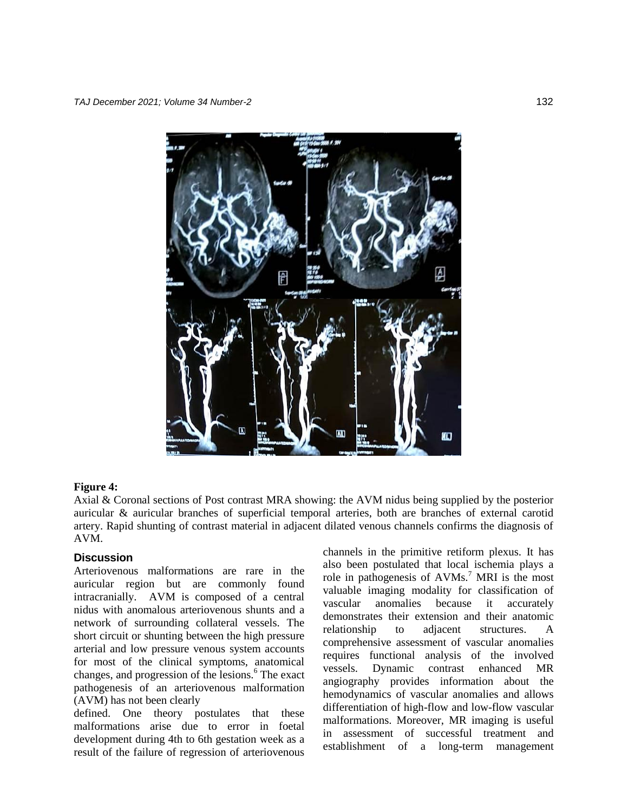

#### **Figure 4:**

Axial & Coronal sections of Post contrast MRA showing: the AVM nidus being supplied by the posterior auricular & auricular branches of superficial temporal arteries, both are branches of external carotid artery. Rapid shunting of contrast material in adjacent dilated venous channels confirms the diagnosis of AVM.

#### **Discussion**

Arteriovenous malformations are rare in the auricular region but are commonly found intracranially. AVM is composed of a central nidus with anomalous arteriovenous shunts and a network of surrounding collateral vessels. The short circuit or shunting between the high pressure arterial and low pressure venous system accounts for most of the clinical symptoms, anatomical changes, and progression of the lesions.<sup>6</sup> The exact pathogenesis of an arteriovenous malformation (AVM) has not been clearly

defined. One theory postulates that these malformations arise due to error in foetal development during 4th to 6th gestation week as a result of the failure of regression of arteriovenous

channels in the primitive retiform plexus. It has also been postulated that local ischemia plays a role in pathogenesis of  $AVMs<sup>7</sup> MRI$  is the most valuable imaging modality for classification of vascular anomalies because it accurately demonstrates their extension and their anatomic relationship to adjacent structures. A comprehensive assessment of vascular anomalies requires functional analysis of the involved vessels. Dynamic contrast enhanced MR angiography provides information about the hemodynamics of vascular anomalies and allows differentiation of high-flow and low-flow vascular malformations. Moreover, MR imaging is useful in assessment of successful treatment and establishment of a long-term management